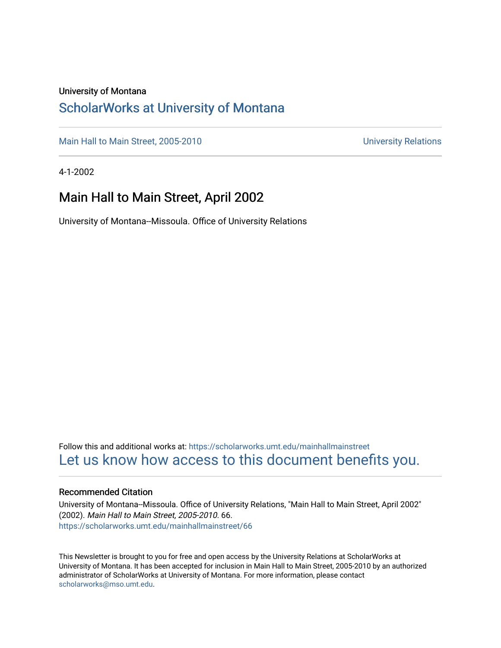### University of Montana

### [ScholarWorks at University of Montana](https://scholarworks.umt.edu/)

[Main Hall to Main Street, 2005-2010](https://scholarworks.umt.edu/mainhallmainstreet) Main Hall to Main Street, 2005-2010

4-1-2002

### Main Hall to Main Street, April 2002

University of Montana--Missoula. Office of University Relations

Follow this and additional works at: [https://scholarworks.umt.edu/mainhallmainstreet](https://scholarworks.umt.edu/mainhallmainstreet?utm_source=scholarworks.umt.edu%2Fmainhallmainstreet%2F66&utm_medium=PDF&utm_campaign=PDFCoverPages) [Let us know how access to this document benefits you.](https://goo.gl/forms/s2rGfXOLzz71qgsB2) 

#### Recommended Citation

University of Montana--Missoula. Office of University Relations, "Main Hall to Main Street, April 2002" (2002). Main Hall to Main Street, 2005-2010. 66. [https://scholarworks.umt.edu/mainhallmainstreet/66](https://scholarworks.umt.edu/mainhallmainstreet/66?utm_source=scholarworks.umt.edu%2Fmainhallmainstreet%2F66&utm_medium=PDF&utm_campaign=PDFCoverPages) 

This Newsletter is brought to you for free and open access by the University Relations at ScholarWorks at University of Montana. It has been accepted for inclusion in Main Hall to Main Street, 2005-2010 by an authorized administrator of ScholarWorks at University of Montana. For more information, please contact [scholarworks@mso.umt.edu.](mailto:scholarworks@mso.umt.edu)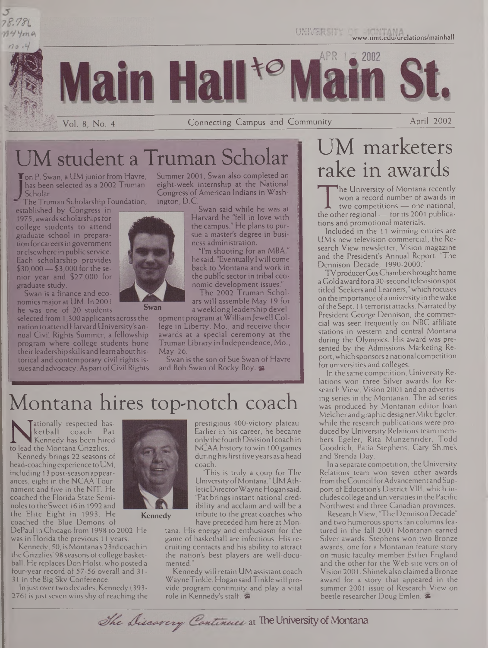

UM student a Truman Scholar

Ton P. Swan, a UM junior from Havre, has been selected as a 2002 Truman *J* Scholar.

The Truman Scholarship Foundation,

established by Congress in 1975, awards scholarships for college students to attend graduate school in preparation forcareersin government orelsewhere in public service. Each scholarship provides \$30,000—\$3,000 for the senior year and \$27,000 for graduate study.

Swan is a finance and economics majorat UM. In 2001 he was one of 20 students

selected from 1,300 applicants across the nation to attendHarvardUniversity's annual Civil Rights Summer, a fellowship program where college students hone theirleadership skills and learn about historical and contemporary civil rights issues and advocacy. As part of Civil Rights

Summer 2001, Swan also completed an eight-week internship at the National Congress of American Indians in Washington, D.C.

Swan said while he was at Harvard he "fell in love with the campus." He plans to pursue a master's degree in business administration.

"I'm shooting for an MBA," he said. "Eventually <sup>I</sup> will come back to Montana and work in the public sector in tribal economic development issues."

The 2002 Truman Scholars will assemble May 19 for a weeklong leadership devel-

opment program atWilliamJewell College in Liberty, Mo., and receive their awards at a special ceremony at the Truman Library in Independence, Mo., May 26.

Swan is the son of Sue Swan of Havre and Bob Swan of Rocky Boy.

## Montana hires top-notch coach

**NAN Ketball coach Pat Kennedy has been hired**<br>to lead the Montana Grizzlies.<br>Kennedy brings 22 seasons of ationally respected basketball coach Pat Kennedy has been hired

Kennedy brings 22 seasons of head-coaching experience to UM, including 13 post-season appearances, eight in the NCAA Tournament and five in the NIT. He coached the Florida State Seminoles to the Sweet 16 in 1992 and the Elite Eight in 1993. He coached the Blue Demons of

DePaul in Chicago from 1998 to 2002. He was in Florida the previous 11 years.

Kennedy, 50, isMontana's23rdcoach in the Grizzlies' 98 seasons of college basketball. He replaces Don Holst, who posted a four-year record of 57-56 overall and 31- 31 in the Big Sky Conference.

In just over two decades, Kennedy (393-276) is just seven wins shy of reaching the



**Kennedy**

Earlier in his career, he became onlythe fourth Division <sup>I</sup> coach in NCAA history to win 100 games during his first five years as a head "This is truly a coup for The

University of Montana," UM AthleticDirectorWayne Hogan said. "Pat brings instant national credibility and acclaim and will be a tribute to the great coaches who have preceded him here at Mon-

tana. His energy and enthusiasm for the game of basketball are infectious. His recruiting contacts and his ability to attract the nation's best players are well-documented."

Kennedy will retain UM assistant coach WayneTinkle. Hogan saidTinklewill provide program continuity and play a vital role in Kennedy's staff.

# UM marketers rake in awards

The University of Montana Fecentry<br>
won a record number of awards in<br>
the other regional — for its 2001 publica-<br>
tions and promotional materials. The University of Montana recently won a record number of awards in two competitions — one national, tions and promotional materials.

Included in the <sup>11</sup> winning entries are UM's new television commercial, the Research View newsletter, Vision magazine and the President's Annual Report: 'The Dennison Decade, 1990-2000.

TV producer Gus Chambers brought home a Gold award for a 30-second television spot titled"Seekers and Learners,"which focuses on the importance ofauniversity in thewake of the Sept. 11 terrorist attacks. Narrated by President George Dennison, the commercial was seen frequently on NBC affiliate stations in western and central Montana during the Olympics. His award was presented by the Admissions Marketing Report, which sponsors a national competition for universities and colleges.

In the same competition, University Relations won three Silver awards for Research View, Vision 2001 and an advertising series in the Montanan. The ad series was produced by Montanan editor Joan Melcher and graphic designer Mike Egeler, while the research publications were produced by University Relations team members Egeler, Rita Munzenrider, Todd Goodrich, Patia Stephens, Cary Shimek and Brenda Day.

In a separate competition, the University Relations team won seven other awards from the Council for Advancement and Support of Education's District VIII, which includes college and universitiesin the Pacific Northwest and three Canadian provinces.

Research View, 'The Dennison Decade" and two humorous sports fan columns featured in the fall 2001 Montanan earned Silver awards. Stephens won two Bronze awards, one for a Montanan feature story on music faculty member Esther England and the other for the Web site version of Vision 2001. Shimek also claimeda Bronze award for a story that appeared in the summer 2001 issue of Research View on beetle researcher Doug Emlen.

prestigious 400-victory plateau.

The Discovery Continues at The University of Montana

**Swan**